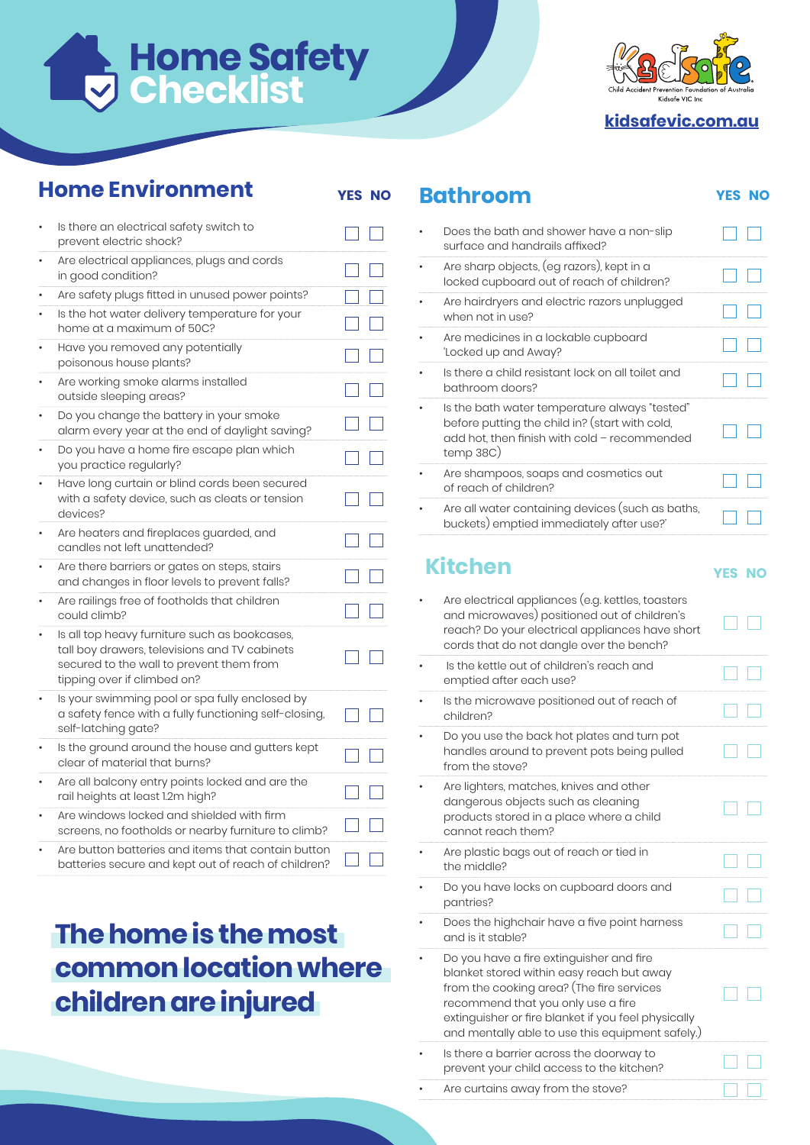# **Home Safety Checklist**



**kidsafevic.com.au**

#### **Home Environment**

| l<br>$\sim$ | $\sim$ |  |
|-------------|--------|--|

| Is there an electrical safety switch to<br>prevent electric shock?                                                                                                        |  |
|---------------------------------------------------------------------------------------------------------------------------------------------------------------------------|--|
| Are electrical appliances, plugs and cords<br>in good condition?                                                                                                          |  |
| Are safety plugs fitted in unused power points?                                                                                                                           |  |
| Is the hot water delivery temperature for your<br>home at a maximum of 50C?                                                                                               |  |
| Have you removed any potentially<br>poisonous house plants?                                                                                                               |  |
| Are working smoke alarms installed<br>outside sleeping areas?                                                                                                             |  |
| Do you change the battery in your smoke<br>alarm every year at the end of daylight saving?                                                                                |  |
| Do you have a home fire escape plan which<br>you practice regularly?                                                                                                      |  |
| Have long curtain or blind cords been secured<br>with a safety device, such as cleats or tension<br>devices?                                                              |  |
| Are heaters and fireplaces guarded, and<br>candles not left unattended?                                                                                                   |  |
| Are there barriers or gates on steps, stairs<br>and changes in floor levels to prevent falls?                                                                             |  |
| Are railings free of footholds that children<br>could climb?                                                                                                              |  |
| Is all top heavy furniture such as bookcases,<br>tall boy drawers, televisions and TV cabinets<br>secured to the wall to prevent them from<br>tipping over if climbed on? |  |
| Is your swimming pool or spa fully enclosed by<br>a safety fence with a fully functioning self-closing,<br>self-latching gate?                                            |  |
| Is the ground around the house and gutters kept<br>clear of material that burns?                                                                                          |  |
| Are all balcony entry points locked and are the<br>rail heights at least 1.2m high?                                                                                       |  |
| Are windows locked and shielded with firm<br>screens, no footholds or nearby furniture to climb?                                                                          |  |
| Are button batteries and items that contain button<br>batteries secure and kept out of reach of children?                                                                 |  |

## **The home is the most common location where children are injured**

#### **Bathroom** YES NO

| Does the bath and shower have a non-slip<br>surface and handrails affixed?                                                                                   |  |
|--------------------------------------------------------------------------------------------------------------------------------------------------------------|--|
| Are sharp objects, (eg razors), kept in a<br>locked cupboard out of reach of children?                                                                       |  |
| Are hairdryers and electric razors unplugged<br>when not in use?                                                                                             |  |
| Are medicines in a lockable cupboard<br>'Locked up and Away?                                                                                                 |  |
| Is there a child resistant lock on all toilet and<br>bathroom doors?                                                                                         |  |
| Is the bath water temperature always "tested"<br>before putting the child in? (start with cold,<br>add hot, then finish with cold - recommended<br>temp 38C) |  |
| Are shampoos, soaps and cosmetics out<br>of reach of children?                                                                                               |  |
| Are all water containing devices (such as baths,<br>buckets) emptied immediately after use?'                                                                 |  |

#### **Kitchen**

| Are electrical appliances (e.g. kettles, toasters<br>and microwaves) positioned out of children's<br>reach? Do your electrical appliances have short<br>cords that do not dangle over the bench?                                                                                    |  |
|-------------------------------------------------------------------------------------------------------------------------------------------------------------------------------------------------------------------------------------------------------------------------------------|--|
| Is the kettle out of children's reach and<br>emptied after each use?                                                                                                                                                                                                                |  |
| Is the microwave positioned out of reach of<br>children?                                                                                                                                                                                                                            |  |
| Do you use the back hot plates and turn pot<br>handles around to prevent pots being pulled<br>from the stove?                                                                                                                                                                       |  |
| Are lighters, matches, knives and other<br>dangerous objects such as cleaning<br>products stored in a place where a child<br>cannot reach them?                                                                                                                                     |  |
| Are plastic bags out of reach or tied in<br>the middle?                                                                                                                                                                                                                             |  |
| Do you have locks on cupboard doors and<br>pantries?                                                                                                                                                                                                                                |  |
| Does the highchair have a five point harness<br>and is it stable?                                                                                                                                                                                                                   |  |
| Do you have a fire extinguisher and fire<br>blanket stored within easy reach but away<br>from the cooking area? (The fire services<br>recommend that you only use a fire<br>extinguisher or fire blanket if you feel physically<br>and mentally able to use this equipment safely.) |  |
| Is there a barrier across the doorway to<br>prevent your child access to the kitchen?                                                                                                                                                                                               |  |
| Are curtains away from the stove?                                                                                                                                                                                                                                                   |  |